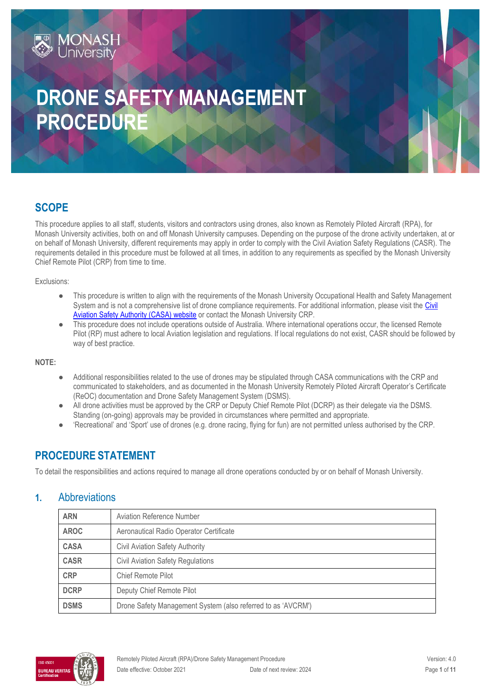# **DRONE SAFETY MANAGEMENT PROCEDURE**

# **SCOPE**

**MONASH**<br>University

This procedure applies to all staff, students, visitors and contractors using drones, also known as Remotely Piloted Aircraft (RPA), for Monash University activities, both on and off Monash University campuses. Depending on the purpose of the drone activity undertaken, at or on behalf of Monash University, different requirements may apply in order to comply with the Civil Aviation Safety Regulations (CASR). The requirements detailed in this procedure must be followed at all times, in addition to any requirements as specified by the Monash University Chief Remote Pilot (CRP) from time to time.

Exclusions:

- This procedure is written to align with the requirements of the Monash University Occupational Health and Safety Management System and is not a comprehensive list of drone compliance requirements. For additional information, please visit the [Civil](https://www.casa.gov.au/drones)  [Aviation Safety Authority \(CASA\) website](https://www.casa.gov.au/drones) or contact the Monash University CRP.
- This procedure does not include operations outside of Australia. Where international operations occur, the licensed Remote Pilot (RP) must adhere to local Aviation legislation and regulations. If local regulations do not exist, CASR should be followed by way of best practice.

**NOTE:** 

- Additional responsibilities related to the use of drones may be stipulated through CASA communications with the CRP and communicated to stakeholders, and as documented in the Monash University Remotely Piloted Aircraft Operator's Certificate (ReOC) documentation and Drone Safety Management System (DSMS).
- All drone activities must be approved by the CRP or Deputy Chief Remote Pilot (DCRP) as their delegate via the DSMS. Standing (on-going) approvals may be provided in circumstances where permitted and appropriate.
- 'Recreational' and 'Sport' use of drones (e.g. drone racing, flying for fun) are not permitted unless authorised by the CRP.

# **PROCEDURE STATEMENT**

To detail the responsibilities and actions required to manage all drone operations conducted by or on behalf of Monash University.

### **1.** Abbreviations

| <b>ARN</b>  | <b>Aviation Reference Number</b>                             |  |
|-------------|--------------------------------------------------------------|--|
| <b>AROC</b> | Aeronautical Radio Operator Certificate                      |  |
| <b>CASA</b> | <b>Civil Aviation Safety Authority</b>                       |  |
| <b>CASR</b> | <b>Civil Aviation Safety Regulations</b>                     |  |
| <b>CRP</b>  | Chief Remote Pilot                                           |  |
| <b>DCRP</b> | Deputy Chief Remote Pilot                                    |  |
| <b>DSMS</b> | Drone Safety Management System (also referred to as 'AVCRM') |  |

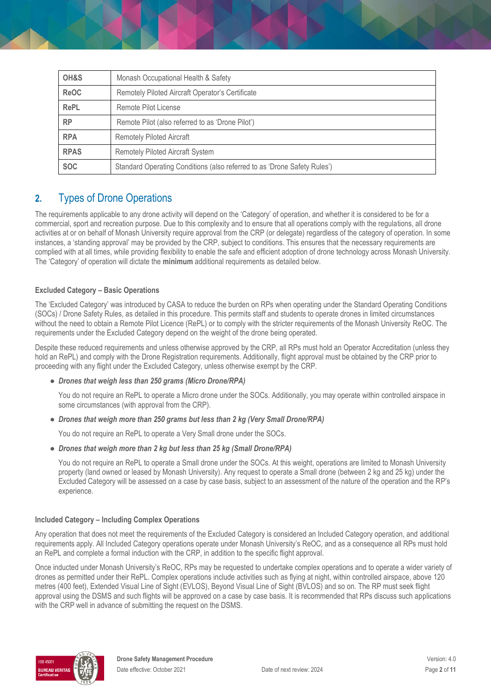| OH&S        | Monash Occupational Health & Safety                                      |  |
|-------------|--------------------------------------------------------------------------|--|
| <b>ReOC</b> | Remotely Piloted Aircraft Operator's Certificate                         |  |
| <b>RePL</b> | Remote Pilot License                                                     |  |
| <b>RP</b>   | Remote Pilot (also referred to as 'Drone Pilot')                         |  |
| <b>RPA</b>  | <b>Remotely Piloted Aircraft</b>                                         |  |
| <b>RPAS</b> | <b>Remotely Piloted Aircraft System</b>                                  |  |
| <b>SOC</b>  | Standard Operating Conditions (also referred to as 'Drone Safety Rules') |  |

# **2.** Types of Drone Operations

The requirements applicable to any drone activity will depend on the 'Category' of operation, and whether it is considered to be for a commercial, sport and recreation purpose. Due to this complexity and to ensure that all operations comply with the regulations, all drone activities at or on behalf of Monash University require approval from the CRP (or delegate) regardless of the category of operation. In some instances, a 'standing approval' may be provided by the CRP, subject to conditions. This ensures that the necessary requirements are complied with at all times, while providing flexibility to enable the safe and efficient adoption of drone technology across Monash University. The 'Category' of operation will dictate the **minimum** additional requirements as detailed below.

#### **Excluded Category – Basic Operations**

The 'Excluded Category' was introduced by CASA to reduce the burden on RPs when operating under the Standard Operating Conditions (SOCs) / Drone Safety Rules, as detailed in this procedure. This permits staff and students to operate drones in limited circumstances without the need to obtain a Remote Pilot Licence (RePL) or to comply with the stricter requirements of the Monash University ReOC. The requirements under the Excluded Category depend on the weight of the drone being operated.

Despite these reduced requirements and unless otherwise approved by the CRP, all RPs must hold an Operator Accreditation (unless they hold an RePL) and comply with the Drone Registration requirements. Additionally, flight approval must be obtained by the CRP prior to proceeding with any flight under the Excluded Category, unless otherwise exempt by the CRP.

#### ● *Drones that weigh less than 250 grams (Micro Drone/RPA)*

You do not require an RePL to operate a Micro drone under the SOCs. Additionally, you may operate within controlled airspace in some circumstances (with approval from the CRP).

● *Drones that weigh more than 250 grams but less than 2 kg (Very Small Drone/RPA)* 

You do not require an RePL to operate a Very Small drone under the SOCs.

● *Drones that weigh more than 2 kg but less than 25 kg (Small Drone/RPA)*

You do not require an RePL to operate a Small drone under the SOCs. At this weight, operations are limited to Monash University property (land owned or leased by Monash University). Any request to operate a Small drone (between 2 kg and 25 kg) under the Excluded Category will be assessed on a case by case basis, subject to an assessment of the nature of the operation and the RP's experience.

#### **Included Category – Including Complex Operations**

Any operation that does not meet the requirements of the Excluded Category is considered an Included Category operation, and additional requirements apply. All Included Category operations operate under Monash University's ReOC, and as a consequence all RPs must hold an RePL and complete a formal induction with the CRP, in addition to the specific flight approval.

Once inducted under Monash University's ReOC, RPs may be requested to undertake complex operations and to operate a wider variety of drones as permitted under their RePL. Complex operations include activities such as flying at night, within controlled airspace, above 120 metres (400 feet), Extended Visual Line of Sight (EVLOS), Beyond Visual Line of Sight (BVLOS) and so on. The RP must seek flight approval using the DSMS and such flights will be approved on a case by case basis. It is recommended that RPs discuss such applications with the CRP well in advance of submitting the request on the DSMS.

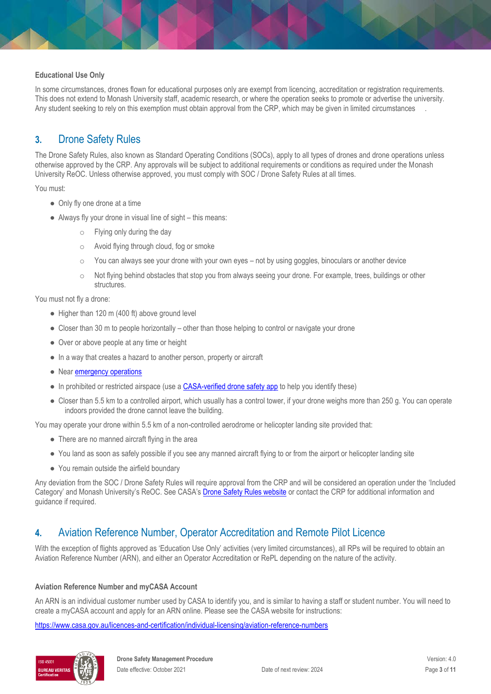#### **Educational Use Only**

In some circumstances, drones flown for educational purposes only are exempt from licencing, accreditation or registration requirements. This does not extend to Monash University staff, academic research, or where the operation seeks to promote or advertise the university. Any student seeking to rely on this exemption must obtain approval from the CRP, which may be given in limited circumstances .

# **3.** Drone Safety Rules

The Drone Safety Rules, also known as Standard Operating Conditions (SOCs), apply to all types of drones and drone operations unless otherwise approved by the CRP. Any approvals will be subject to additional requirements or conditions as required under the Monash University ReOC. Unless otherwise approved, you must comply with SOC / Drone Safety Rules at all times.

You must:

- Only fly one drone at a time
- Always fly your drone in visual line of sight this means:
	- o Flying only during the day
	- o Avoid flying through cloud, fog or smoke
	- $\circ$  You can always see your drone with your own eyes not by using goggles, binoculars or another device
	- $\circ$  Not flying behind obstacles that stop you from always seeing your drone. For example, trees, buildings or other structures.

You must not fly a drone:

- $\bullet$  Higher than 120 m (400 ft) above ground level
- Closer than 30 m to people horizontally other than those helping to control or navigate your drone
- Over or above people at any time or height
- In a way that creates a hazard to another person, property or aircraft
- Near **emergency operations**
- In prohibited or restricted airspace (use a [CASA-verified drone safety app](https://www.casa.gov.au/drones/safety-apps) to help you identify these)
- Closer than 5.5 km to a controlled airport, which usually has a control tower, if your drone weighs more than 250 g. You can operate indoors provided the drone cannot leave the building.

You may operate your drone within 5.5 km of a non-controlled aerodrome or helicopter landing site provided that:

- There are no manned aircraft flying in the area
- You land as soon as safely possible if you see any manned aircraft flying to or from the airport or helicopter landing site
- You remain outside the airfield boundary

Any deviation from the SOC / Drone Safety Rules will require approval from the CRP and will be considered an operation under the 'Included Category' and Monash University's ReOC. See CASA's [Drone Safety Rules website](https://www.casa.gov.au/drones/rules/drone-safety-rules) or contact the CRP for additional information and guidance if required.

### **4.** Aviation Reference Number, Operator Accreditation and Remote Pilot Licence

With the exception of flights approved as 'Education Use Only' activities (very limited circumstances), all RPs will be required to obtain an Aviation Reference Number (ARN), and either an Operator Accreditation or RePL depending on the nature of the activity.

#### **Aviation Reference Number and myCASA Account**

An ARN is an individual customer number used by CASA to identify you, and is similar to having a staff or student number. You will need to create a myCASA account and apply for an ARN online. Please see the CASA website for instructions:

<https://www.casa.gov.au/licences-and-certification/individual-licensing/aviation-reference-numbers>

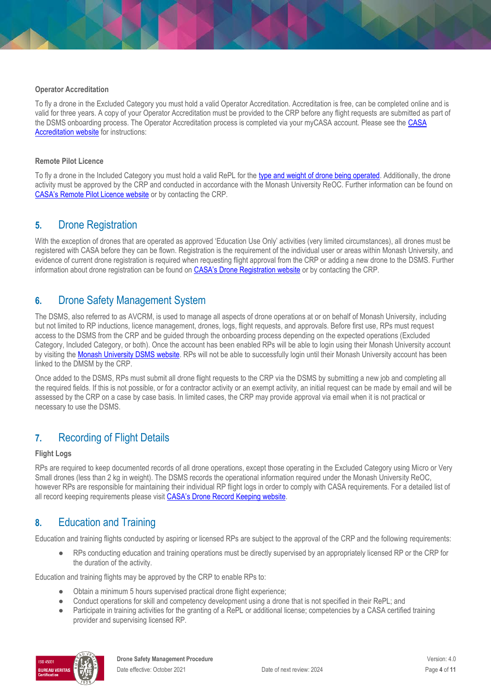#### **Operator Accreditation**

To fly a drone in the Excluded Category you must hold a valid Operator Accreditation. Accreditation is free, can be completed online and is valid for three years. A copy of your Operator Accreditation must be provided to the CRP before any flight requests are submitted as part of the DSMS onboarding process. The Operator Accreditation process is completed via your myCASA account. Please see the [CASA](https://www.casa.gov.au/drones/accreditation)  [Accreditation website](https://www.casa.gov.au/drones/accreditation) for instructions:

#### **Remote Pilot Licence**

To fly a drone in the Included Category you must hold a valid RePL for the [type and weight of drone being operated.](https://www.casa.gov.au/drones/rules/drone-types) Additionally, the drone activity must be approved by the CRP and conducted in accordance with the Monash University ReOC. Further information can be found on [CASA's Remote Pilot Licence website](https://www.casa.gov.au/drones/remote-pilot-licence) or by contacting the CRP.

### **5.** Drone Registration

With the exception of drones that are operated as approved 'Education Use Only' activities (very limited circumstances), all drones must be registered with CASA before they can be flown. Registration is the requirement of the individual user or areas within Monash University, and evidence of current drone registration is required when requesting flight approval from the CRP or adding a new drone to the DSMS. Further information about drone registration can be found on [CASA's Drone Registration website](https://www.casa.gov.au/drones/register) or by contacting the CRP.

### **6.** Drone Safety Management System

The DSMS, also referred to as AVCRM, is used to manage all aspects of drone operations at or on behalf of Monash University, including but not limited to RP inductions, licence management, drones, logs, flight requests, and approvals. Before first use, RPs must request access to the DSMS from the CRP and be guided through the onboarding process depending on the expected operations (Excluded Category, Included Category, or both). Once the account has been enabled RPs will be able to login using their Monash University account by visiting th[e Monash University DSMS website.](https://www.monash.edu/ohs/info-docs/safety-topics/remote-piloted-aircraft-drones) RPs will not be able to successfully login until their Monash University account has been linked to the DMSM by the CRP.

Once added to the DSMS, RPs must submit all drone flight requests to the CRP via the DSMS by submitting a new job and completing all the required fields. If this is not possible, or for a contractor activity or an exempt activity, an initial request can be made by email and will be assessed by the CRP on a case by case basis. In limited cases, the CRP may provide approval via email when it is not practical or necessary to use the DSMS.

### **7.** Recording of Flight Details

#### **Flight Logs**

RPs are required to keep documented records of all drone operations, except those operating in the Excluded Category using Micro or Very Small drones (less than 2 kg in weight). The DSMS records the operational information required under the Monash University ReOC, however RPs are responsible for maintaining their individual RP flight logs in order to comply with CASA requirements. For a detailed list of all record keeping requirements please visit [CASA's Drone Record Keeping website](https://www.casa.gov.au/drones/excluded-category/record-keeping).

# **8.** Education and Training

Education and training flights conducted by aspiring or licensed RPs are subject to the approval of the CRP and the following requirements:

RPs conducting education and training operations must be directly supervised by an appropriately licensed RP or the CRP for the duration of the activity.

Education and training flights may be approved by the CRP to enable RPs to:

- Obtain a minimum 5 hours supervised practical drone flight experience;
- Conduct operations for skill and competency development using a drone that is not specified in their RePL; and
- Participate in training activities for the granting of a RePL or additional license; competencies by a CASA certified training provider and supervising licensed RP.

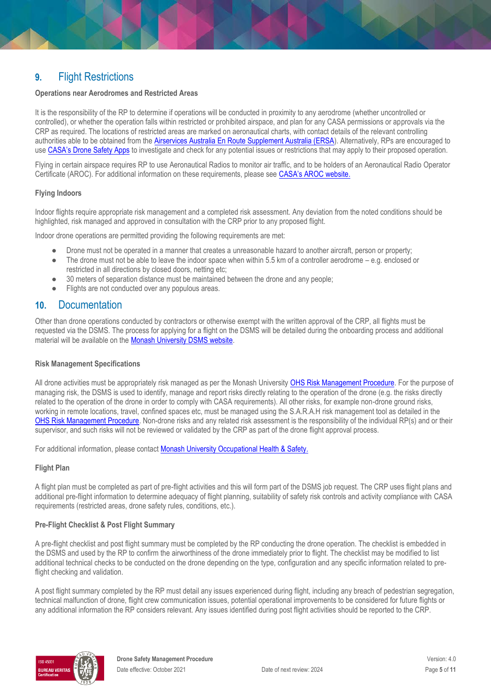## **9.** Flight Restrictions

#### **Operations near Aerodromes and Restricted Areas**

It is the responsibility of the RP to determine if operations will be conducted in proximity to any aerodrome (whether uncontrolled or controlled), or whether the operation falls within restricted or prohibited airspace, and plan for any CASA permissions or approvals via the CRP as required. The locations of restricted areas are marked on aeronautical charts, with contact details of the relevant controlling authorities able to be obtained from the [Airservices Australia En Route Supplement Australia \(ERSA\)](https://www.airservicesaustralia.com/aip/aip.asp?pg=10). Alternatively, RPs are encouraged to use [CASA's Drone Safety Apps](https://www.casa.gov.au/drones/safety-apps) to investigate and check for any potential issues or restrictions that may apply to their proposed operation.

Flying in certain airspace requires RP to use Aeronautical Radios to monitor air traffic, and to be holders of an Aeronautical Radio Operator Certificate (AROC). For additional information on these requirements, please see [CASA's AROC website](https://www.casa.gov.au/standard-page/applying-aeronautical-radio-operator-certificate).

#### **Flying Indoors**

Indoor flights require appropriate risk management and a completed risk assessment. Any deviation from the noted conditions should be highlighted, risk managed and approved in consultation with the CRP prior to any proposed flight.

Indoor drone operations are permitted providing the following requirements are met:

- Drone must not be operated in a manner that creates a unreasonable hazard to another aircraft, person or property;
- The drone must not be able to leave the indoor space when within 5.5 km of a controller aerodrome e.g. enclosed or restricted in all directions by closed doors, netting etc;
- 30 meters of separation distance must be maintained between the drone and any people;
- Flights are not conducted over any populous areas.

### **10.** Documentation

Other than drone operations conducted by contractors or otherwise exempt with the written approval of the CRP, all flights must be requested via the DSMS. The process for applying for a flight on the DSMS will be detailed during the onboarding process and additional material will be available on the [Monash University DSMS website.](https://www.monash.edu/ohs/info-docs/safety-topics/remote-piloted-aircraft-drones)

#### **Risk Management Specifications**

All drone activities must be appropriately risk managed as per the Monash University [OHS Risk Management Procedure.](https://publicpolicydms.monash.edu/Monash/documents/1935636) For the purpose of managing risk, the DSMS is used to identify, manage and report risks directly relating to the operation of the drone (e.g. the risks directly related to the operation of the drone in order to comply with CASA requirements). All other risks, for example non-drone ground risks, working in remote locations, travel, confined spaces etc, must be managed using the S.A.R.A.H risk management tool as detailed in the [OHS Risk Management Procedure.](https://publicpolicydms.monash.edu/Monash/documents/1935636) Non-drone risks and any related risk assessment is the responsibility of the individual RP(s) and or their supervisor, and such risks will not be reviewed or validated by the CRP as part of the drone flight approval process.

For additional information, please contact [Monash University Occupational Health & Safety.](https://www.monash.edu/ohs/AboutUs)

#### **Flight Plan**

A flight plan must be completed as part of pre-flight activities and this will form part of the DSMS job request. The CRP uses flight plans and additional pre-flight information to determine adequacy of flight planning, suitability of safety risk controls and activity compliance with CASA requirements (restricted areas, drone safety rules, conditions, etc.).

#### **Pre-Flight Checklist & Post Flight Summary**

A pre-flight checklist and post flight summary must be completed by the RP conducting the drone operation. The checklist is embedded in the DSMS and used by the RP to confirm the airworthiness of the drone immediately prior to flight. The checklist may be modified to list additional technical checks to be conducted on the drone depending on the type, configuration and any specific information related to preflight checking and validation.

A post flight summary completed by the RP must detail any issues experienced during flight, including any breach of pedestrian segregation, technical malfunction of drone, flight crew communication issues, potential operational improvements to be considered for future flights or any additional information the RP considers relevant. Any issues identified during post flight activities should be reported to the CRP.

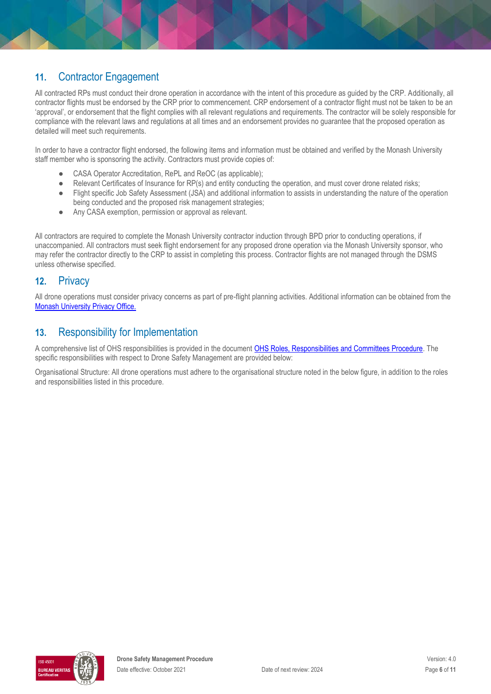# **11.** Contractor Engagement

All contracted RPs must conduct their drone operation in accordance with the intent of this procedure as guided by the CRP. Additionally, all contractor flights must be endorsed by the CRP prior to commencement. CRP endorsement of a contractor flight must not be taken to be an 'approval', or endorsement that the flight complies with all relevant regulations and requirements. The contractor will be solely responsible for compliance with the relevant laws and regulations at all times and an endorsement provides no guarantee that the proposed operation as detailed will meet such requirements.

In order to have a contractor flight endorsed, the following items and information must be obtained and verified by the Monash University staff member who is sponsoring the activity. Contractors must provide copies of:

- CASA Operator Accreditation, RePL and ReOC (as applicable);
- Relevant Certificates of Insurance for RP(s) and entity conducting the operation, and must cover drone related risks;
- Flight specific Job Safety Assessment (JSA) and additional information to assists in understanding the nature of the operation being conducted and the proposed risk management strategies;
- Any CASA exemption, permission or approval as relevant.

All contractors are required to complete the Monash University contractor induction through BPD prior to conducting operations, if unaccompanied. All contractors must seek flight endorsement for any proposed drone operation via the Monash University sponsor, who may refer the contractor directly to the CRP to assist in completing this process. Contractor flights are not managed through the DSMS unless otherwise specified.

### **12.** Privacy

All drone operations must consider privacy concerns as part of pre-flight planning activities. Additional information can be obtained from the [Monash University Privacy Office.](http://www.monash.edu/privacy-monash)

### **13.** Responsibility for Implementation

A comprehensive list of OHS responsibilities is provided in the document [OHS Roles, Responsibilities and Committees Procedure.](https://publicpolicydms.monash.edu/Monash/documents/1935644) The specific responsibilities with respect to Drone Safety Management are provided below:

Organisational Structure: All drone operations must adhere to the organisational structure noted in the below figure, in addition to the roles and responsibilities listed in this procedure.

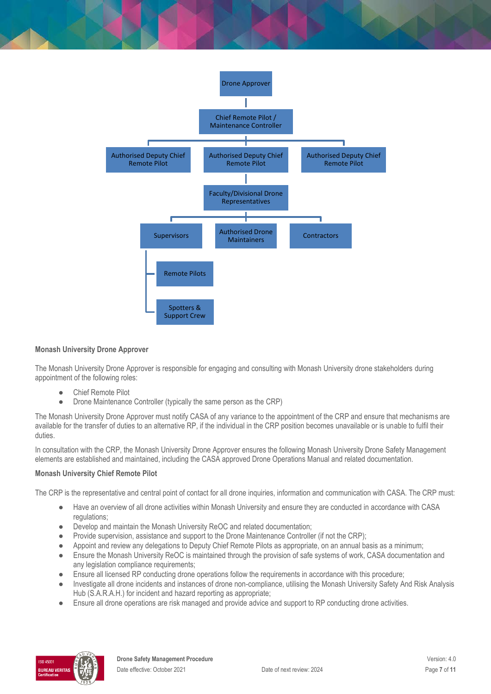

#### **Monash University Drone Approver**

The Monash University Drone Approver is responsible for engaging and consulting with Monash University drone stakeholders during appointment of the following roles:

- Chief Remote Pilot
- Drone Maintenance Controller (typically the same person as the CRP)

The Monash University Drone Approver must notify CASA of any variance to the appointment of the CRP and ensure that mechanisms are available for the transfer of duties to an alternative RP, if the individual in the CRP position becomes unavailable or is unable to fulfil their duties.

In consultation with the CRP, the Monash University Drone Approver ensures the following Monash University Drone Safety Management elements are established and maintained, including the CASA approved Drone Operations Manual and related documentation.

#### **Monash University Chief Remote Pilot**

The CRP is the representative and central point of contact for all drone inquiries, information and communication with CASA. The CRP must:

- Have an overview of all drone activities within Monash University and ensure they are conducted in accordance with CASA regulations;
- Develop and maintain the Monash University ReOC and related documentation;
- Provide supervision, assistance and support to the Drone Maintenance Controller (if not the CRP);
- Appoint and review any delegations to Deputy Chief Remote Pilots as appropriate, on an annual basis as a minimum;
- Ensure the Monash University ReOC is maintained through the provision of safe systems of work, CASA documentation and any legislation compliance requirements:
- Ensure all licensed RP conducting drone operations follow the requirements in accordance with this procedure;
- Investigate all drone incidents and instances of drone non-compliance, utilising the Monash University Safety And Risk Analysis Hub (S.A.R.A.H.) for incident and hazard reporting as appropriate;
- Ensure all drone operations are risk managed and provide advice and support to RP conducting drone activities.

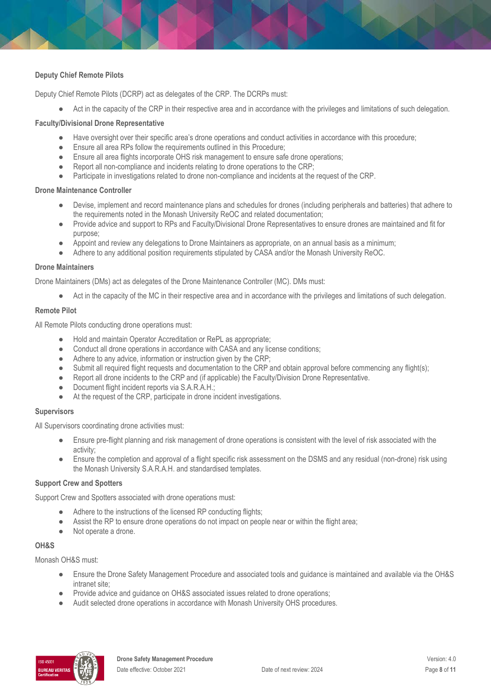#### **Deputy Chief Remote Pilots**

Deputy Chief Remote Pilots (DCRP) act as delegates of the CRP. The DCRPs must:

● Act in the capacity of the CRP in their respective area and in accordance with the privileges and limitations of such delegation.

#### **Faculty/Divisional Drone Representative**

- Have oversight over their specific area's drone operations and conduct activities in accordance with this procedure;
- Ensure all area RPs follow the requirements outlined in this Procedure;
- Ensure all area flights incorporate OHS risk management to ensure safe drone operations;
- Report all non-compliance and incidents relating to drone operations to the CRP;
- Participate in investigations related to drone non-compliance and incidents at the request of the CRP.

#### **Drone Maintenance Controller**

- Devise, implement and record maintenance plans and schedules for drones (including peripherals and batteries) that adhere to the requirements noted in the Monash University ReOC and related documentation;
- Provide advice and support to RPs and Faculty/Divisional Drone Representatives to ensure drones are maintained and fit for purpose;
- Appoint and review any delegations to Drone Maintainers as appropriate, on an annual basis as a minimum;
- Adhere to any additional position requirements stipulated by CASA and/or the Monash University ReOC.

#### **Drone Maintainers**

Drone Maintainers (DMs) act as delegates of the Drone Maintenance Controller (MC). DMs must:

Act in the capacity of the MC in their respective area and in accordance with the privileges and limitations of such delegation.

#### **Remote Pilot**

All Remote Pilots conducting drone operations must:

- Hold and maintain Operator Accreditation or RePL as appropriate;
- Conduct all drone operations in accordance with CASA and any license conditions;
- Adhere to any advice, information or instruction given by the CRP;
- Submit all required flight requests and documentation to the CRP and obtain approval before commencing any flight(s);
- Report all drone incidents to the CRP and (if applicable) the Faculty/Division Drone Representative.
- Document flight incident reports via S.A.R.A.H.;
- At the request of the CRP, participate in drone incident investigations.

#### **Supervisors**

All Supervisors coordinating drone activities must:

- Ensure pre-flight planning and risk management of drone operations is consistent with the level of risk associated with the activity;
- Ensure the completion and approval of a flight specific risk assessment on the DSMS and any residual (non-drone) risk using the Monash University S.A.R.A.H. and standardised templates.

#### **Support Crew and Spotters**

Support Crew and Spotters associated with drone operations must:

- Adhere to the instructions of the licensed RP conducting flights;
- Assist the RP to ensure drone operations do not impact on people near or within the flight area;
- Not operate a drone.

#### **OH&S**

Monash OH&S must:

- Ensure the Drone Safety Management Procedure and associated tools and guidance is maintained and available via the OH&S intranet site;
- Provide advice and guidance on OH&S associated issues related to drone operations;
- Audit selected drone operations in accordance with Monash University OHS procedures.

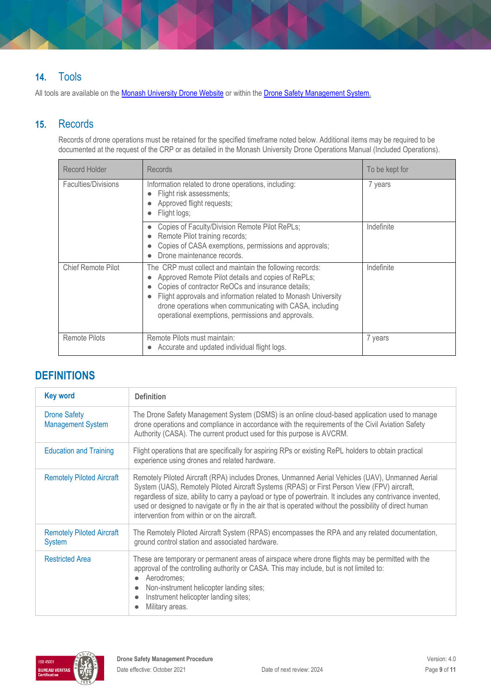# **14.** Tools

All tools are available on the **Monash University Drone Website** or within the **Drone Safety Management System.** 

## **15.** Records

Records of drone operations must be retained for the specified timeframe noted below. Additional items may be required to be documented at the request of the CRP or as detailed in the Monash University Drone Operations Manual (Included Operations).

| Record Holder             | <b>Records</b>                                                                                                                                                                                                                                                                                                                                         | To be kept for |
|---------------------------|--------------------------------------------------------------------------------------------------------------------------------------------------------------------------------------------------------------------------------------------------------------------------------------------------------------------------------------------------------|----------------|
| Faculties/Divisions       | Information related to drone operations, including:<br>Flight risk assessments;<br>Approved flight requests;<br>Flight logs;                                                                                                                                                                                                                           | 7 years        |
|                           | Copies of Faculty/Division Remote Pilot RePLs;<br>Remote Pilot training records;<br>Copies of CASA exemptions, permissions and approvals;<br>Drone maintenance records.                                                                                                                                                                                | Indefinite     |
| <b>Chief Remote Pilot</b> | The CRP must collect and maintain the following records:<br>Approved Remote Pilot details and copies of RePLs;<br>Copies of contractor ReOCs and insurance details;<br>Flight approvals and information related to Monash University<br>drone operations when communicating with CASA, including<br>operational exemptions, permissions and approvals. | Indefinite     |
| <b>Remote Pilots</b>      | Remote Pilots must maintain:<br>7 years<br>Accurate and updated individual flight logs.                                                                                                                                                                                                                                                                |                |

# **DEFINITIONS**

| <b>Key word</b>                                   | <b>Definition</b>                                                                                                                                                                                                                                                                                                                                                                                                                                                         |
|---------------------------------------------------|---------------------------------------------------------------------------------------------------------------------------------------------------------------------------------------------------------------------------------------------------------------------------------------------------------------------------------------------------------------------------------------------------------------------------------------------------------------------------|
| <b>Drone Safety</b><br><b>Management System</b>   | The Drone Safety Management System (DSMS) is an online cloud-based application used to manage<br>drone operations and compliance in accordance with the requirements of the Civil Aviation Safety<br>Authority (CASA). The current product used for this purpose is AVCRM.                                                                                                                                                                                                |
| <b>Education and Training</b>                     | Flight operations that are specifically for aspiring RPs or existing RePL holders to obtain practical<br>experience using drones and related hardware.                                                                                                                                                                                                                                                                                                                    |
| <b>Remotely Piloted Aircraft</b>                  | Remotely Piloted Aircraft (RPA) includes Drones, Unmanned Aerial Vehicles (UAV), Unmanned Aerial<br>System (UAS), Remotely Piloted Aircraft Systems (RPAS) or First Person View (FPV) aircraft,<br>regardless of size, ability to carry a payload or type of powertrain. It includes any contrivance invented,<br>used or designed to navigate or fly in the air that is operated without the possibility of direct human<br>intervention from within or on the aircraft. |
| <b>Remotely Piloted Aircraft</b><br><b>System</b> | The Remotely Piloted Aircraft System (RPAS) encompasses the RPA and any related documentation,<br>ground control station and associated hardware.                                                                                                                                                                                                                                                                                                                         |
| <b>Restricted Area</b>                            | These are temporary or permanent areas of airspace where drone flights may be permitted with the<br>approval of the controlling authority or CASA. This may include, but is not limited to:<br>Aerodromes:<br>Non-instrument helicopter landing sites;<br>Instrument helicopter landing sites;<br>Military areas.                                                                                                                                                         |

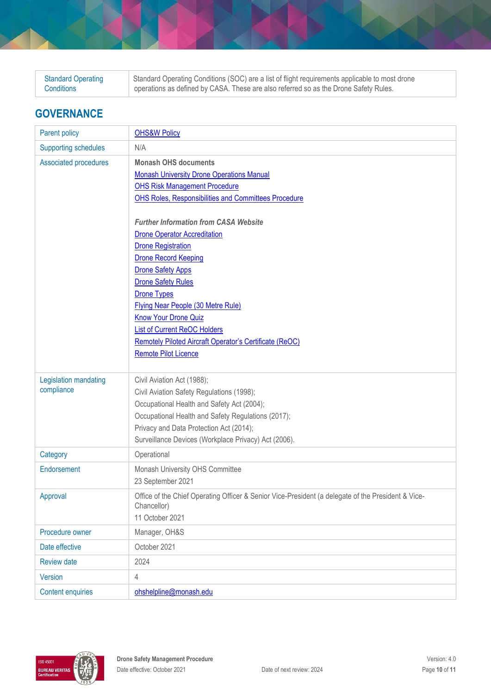| <b>Standard Operating</b> | Standard Operating Conditions (SOC) are a list of flight requirements applicable to most drone |
|---------------------------|------------------------------------------------------------------------------------------------|
| Conditions                | operations as defined by CASA. These are also referred so as the Drone Safety Rules.           |

# **GOVERNANCE**

| Parent policy               | <b>OHS&amp;W Policy</b>                                                                            |
|-----------------------------|----------------------------------------------------------------------------------------------------|
| <b>Supporting schedules</b> | N/A                                                                                                |
| Associated procedures       | <b>Monash OHS documents</b>                                                                        |
|                             | <b>Monash University Drone Operations Manual</b>                                                   |
|                             | <b>OHS Risk Management Procedure</b>                                                               |
|                             | <b>OHS Roles, Responsibilities and Committees Procedure</b>                                        |
|                             |                                                                                                    |
|                             | <b>Further Information from CASA Website</b>                                                       |
|                             | <b>Drone Operator Accreditation</b>                                                                |
|                             | <b>Drone Registration</b>                                                                          |
|                             | <b>Drone Record Keeping</b>                                                                        |
|                             | <b>Drone Safety Apps</b>                                                                           |
|                             | <b>Drone Safety Rules</b>                                                                          |
|                             | <b>Drone Types</b>                                                                                 |
|                             | Flying Near People (30 Metre Rule)<br><b>Know Your Drone Quiz</b>                                  |
|                             | <b>List of Current ReOC Holders</b>                                                                |
|                             | Remotely Piloted Aircraft Operator's Certificate (ReOC)                                            |
|                             | <b>Remote Pilot Licence</b>                                                                        |
|                             |                                                                                                    |
| Legislation mandating       | Civil Aviation Act (1988);                                                                         |
| compliance                  | Civil Aviation Safety Regulations (1998);                                                          |
|                             | Occupational Health and Safety Act (2004);                                                         |
|                             | Occupational Health and Safety Regulations (2017);                                                 |
|                             | Privacy and Data Protection Act (2014);                                                            |
|                             | Surveillance Devices (Workplace Privacy) Act (2006).                                               |
| Category                    | Operational                                                                                        |
| Endorsement                 | Monash University OHS Committee                                                                    |
|                             | 23 September 2021                                                                                  |
| Approval                    | Office of the Chief Operating Officer & Senior Vice-President (a delegate of the President & Vice- |
|                             | Chancellor)                                                                                        |
|                             | 11 October 2021                                                                                    |
| Procedure owner             | Manager, OH&S                                                                                      |
| Date effective              | October 2021                                                                                       |
| <b>Review date</b>          | 2024                                                                                               |
| Version                     | $\overline{4}$                                                                                     |
| <b>Content enquiries</b>    | ohshelpline@monash.edu                                                                             |